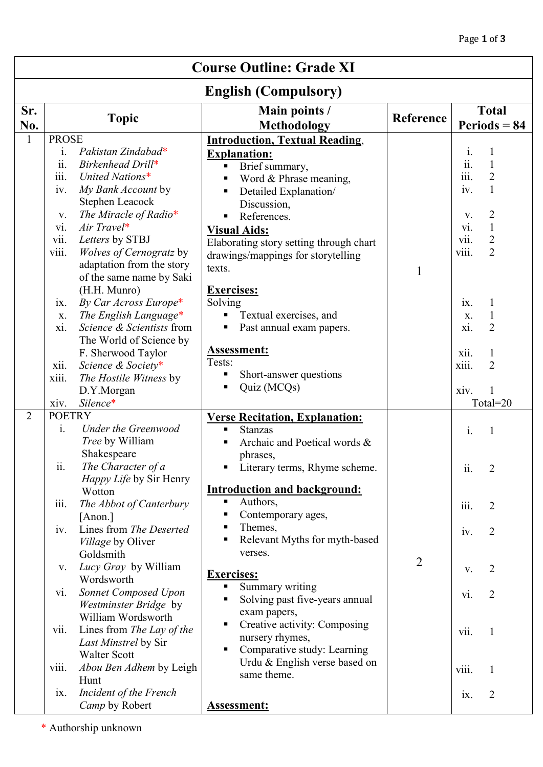| <b>Course Outline: Grade XI</b> |                                                                                                                                                                                                                                                                                                                                                                                                                                                                                                                                                                                                  |                                                                                                                                                                                                                                                                                                                                                                                                                                                       |                |                                                                                                                                                                                                                                                                                                                                                 |  |  |  |  |  |
|---------------------------------|--------------------------------------------------------------------------------------------------------------------------------------------------------------------------------------------------------------------------------------------------------------------------------------------------------------------------------------------------------------------------------------------------------------------------------------------------------------------------------------------------------------------------------------------------------------------------------------------------|-------------------------------------------------------------------------------------------------------------------------------------------------------------------------------------------------------------------------------------------------------------------------------------------------------------------------------------------------------------------------------------------------------------------------------------------------------|----------------|-------------------------------------------------------------------------------------------------------------------------------------------------------------------------------------------------------------------------------------------------------------------------------------------------------------------------------------------------|--|--|--|--|--|
| <b>English (Compulsory)</b>     |                                                                                                                                                                                                                                                                                                                                                                                                                                                                                                                                                                                                  |                                                                                                                                                                                                                                                                                                                                                                                                                                                       |                |                                                                                                                                                                                                                                                                                                                                                 |  |  |  |  |  |
| Sr.<br>No.                      | <b>Topic</b>                                                                                                                                                                                                                                                                                                                                                                                                                                                                                                                                                                                     | Main points /<br><b>Methodology</b>                                                                                                                                                                                                                                                                                                                                                                                                                   | Reference      | <b>Total</b><br>$Periods = 84$                                                                                                                                                                                                                                                                                                                  |  |  |  |  |  |
| $\mathbf{1}$                    | <b>PROSE</b><br>Pakistan Zindabad*<br>$\mathbf{i}$ .<br>Birkenhead Drill*<br>11.<br>iii.<br>United Nations*<br>My Bank Account by<br>iv.<br>Stephen Leacock<br>The Miracle of Radio $*$<br>V.<br>$Air$ Travel*<br>V1.<br>vii.<br>Letters by STBJ<br>viii.<br>Wolves of Cernogratz by<br>adaptation from the story<br>of the same name by Saki<br>(H.H. Munro)<br>By Car Across Europe*<br>ix.<br>The English Language*<br>X.<br>Science & Scientists from<br>xi.<br>The World of Science by<br>F. Sherwood Taylor<br>Science & Society*<br>xii.<br>The Hostile Witness by<br>xiii.<br>D.Y.Morgan | <b>Introduction, Textual Reading,</b><br><b>Explanation:</b><br>Brief summary,<br>Word & Phrase meaning,<br>Detailed Explanation/<br>Discussion,<br>References.<br><b>Visual Aids:</b><br>Elaborating story setting through chart<br>drawings/mappings for storytelling<br>texts.<br><b>Exercises:</b><br>Solving<br>Textual exercises, and<br>Past annual exam papers.<br><b>Assessment:</b><br>Tests:<br>Short-answer questions<br>Quiz (MCQs)<br>٠ | 1              | i.<br>1<br>ii.<br>$\mathbf{1}$<br>iii.<br>$\overline{2}$<br>$\mathbf{1}$<br>iv.<br>$\overline{2}$<br>V.<br>$\mathbf{1}$<br>$\overline{\mathbf{v}}$ .<br>$\overline{2}$<br>vii.<br>$\overline{2}$<br>viii.<br>$\mathbf{1}$<br>ix.<br>$\mathbf{1}$<br>X.<br>xi.<br>$\overline{2}$<br>$\mathbf{1}$<br>xii.<br>$\overline{2}$<br>xiii.<br>xiv.<br>1 |  |  |  |  |  |
| $\overline{2}$                  | Silence*<br>xiv.<br><b>POETRY</b>                                                                                                                                                                                                                                                                                                                                                                                                                                                                                                                                                                | <b>Verse Recitation, Explanation:</b>                                                                                                                                                                                                                                                                                                                                                                                                                 |                | Total=20                                                                                                                                                                                                                                                                                                                                        |  |  |  |  |  |
|                                 | <b>Under the Greenwood</b><br>$\mathbf{i}$ .<br>Tree by William<br>Shakespeare<br>The Character of a<br>ii.<br>Happy Life by Sir Henry<br>Wotton<br>iii.<br>The Abbot of Canterbury<br>$[$ Anon. $]$<br>Lines from The Deserted<br>iv.                                                                                                                                                                                                                                                                                                                                                           | <b>Stanzas</b><br>٠<br>Archaic and Poetical words &<br>phrases,<br>• Literary terms, Rhyme scheme.<br><b>Introduction and background:</b><br>Authors,<br>Contemporary ages,<br>٠<br>Themes,<br>п<br>Relevant Myths for myth-based                                                                                                                                                                                                                     |                | $\mathbf{i}$ .<br>$\mathbf{1}$<br>2<br>11.<br>iii.<br>$\overline{2}$<br>$\overline{2}$<br>iv.                                                                                                                                                                                                                                                   |  |  |  |  |  |
|                                 | Village by Oliver<br>Goldsmith<br>Lucy Gray by William<br>$V_{\star}$<br>Wordsworth<br>Sonnet Composed Upon<br>vi.<br>Westminster Bridge by<br>William Wordsworth<br>Lines from The Lay of the<br>vii.<br>Last Minstrel by Sir                                                                                                                                                                                                                                                                                                                                                                   | verses.<br><b>Exercises:</b><br>Summary writing<br>$\blacksquare$<br>Solving past five-years annual<br>п<br>exam papers,<br>Creative activity: Composing<br>٠<br>nursery rhymes,                                                                                                                                                                                                                                                                      | $\overline{2}$ | 2<br>V.<br>$\overline{2}$<br>vi.<br>vii.<br>$\mathbf{1}$                                                                                                                                                                                                                                                                                        |  |  |  |  |  |
|                                 | <b>Walter Scott</b><br>Abou Ben Adhem by Leigh<br>viii.<br>Hunt<br>Incident of the French<br>$\overline{1}X$ .<br>Camp by Robert                                                                                                                                                                                                                                                                                                                                                                                                                                                                 | Comparative study: Learning<br>п<br>Urdu & English verse based on<br>same theme.<br><b>Assessment:</b>                                                                                                                                                                                                                                                                                                                                                |                | viii.<br>1<br>$\overline{2}$<br>$\overline{1}X$ .                                                                                                                                                                                                                                                                                               |  |  |  |  |  |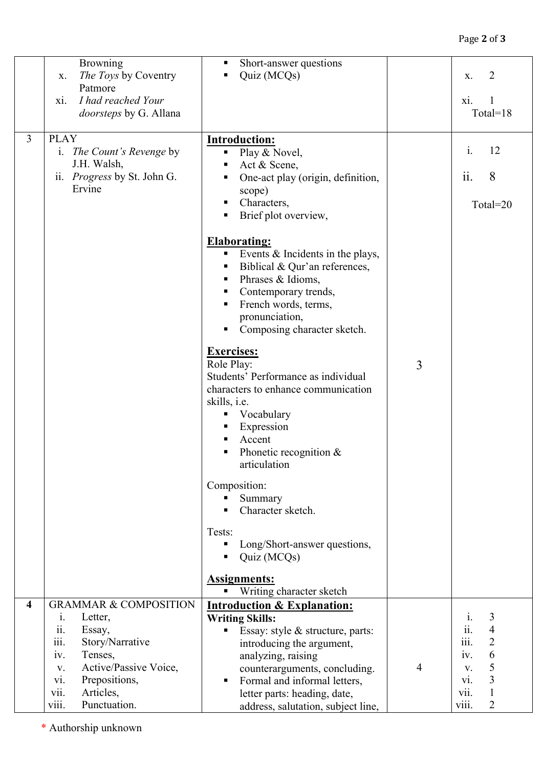|                         | <b>Browning</b>                              | Short-answer questions<br>п                                       |   |                                          |
|-------------------------|----------------------------------------------|-------------------------------------------------------------------|---|------------------------------------------|
|                         | The Toys by Coventry<br>X.                   | Quiz (MCQs)                                                       |   | 2<br>X.                                  |
|                         | Patmore                                      |                                                                   |   |                                          |
|                         | I had reached Your<br>X1.                    |                                                                   |   | X1.                                      |
|                         | doorsteps by G. Allana                       |                                                                   |   | Total= $18$                              |
|                         |                                              |                                                                   |   |                                          |
| $\overline{3}$          | <b>PLAY</b>                                  | <b>Introduction:</b>                                              |   | $i$ .                                    |
|                         | i. <i>The Count's Revenge by</i>             | • Play & Novel,                                                   |   | 12                                       |
|                         | J.H. Walsh,                                  | Act & Scene,                                                      |   | 8                                        |
|                         | ii. <i>Progress</i> by St. John G.<br>Ervine | One-act play (origin, definition,                                 |   | $\overline{11}$ .                        |
|                         |                                              | scope)<br>Characters,<br>ш                                        |   |                                          |
|                         |                                              | Brief plot overview,                                              |   | Total=20                                 |
|                         |                                              |                                                                   |   |                                          |
|                         |                                              | <b>Elaborating:</b>                                               |   |                                          |
|                         |                                              | Events $\&$ Incidents in the plays,<br>٠                          |   |                                          |
|                         |                                              | Biblical & Qur'an references,                                     |   |                                          |
|                         |                                              | Phrases & Idioms,<br>ш                                            |   |                                          |
|                         |                                              | Contemporary trends,                                              |   |                                          |
|                         |                                              | French words, terms,                                              |   |                                          |
|                         |                                              | pronunciation,                                                    |   |                                          |
|                         |                                              | Composing character sketch.                                       |   |                                          |
|                         |                                              | <b>Exercises:</b>                                                 |   |                                          |
|                         |                                              | Role Play:                                                        | 3 |                                          |
|                         |                                              | Students' Performance as individual                               |   |                                          |
|                         |                                              | characters to enhance communication                               |   |                                          |
|                         |                                              | skills, <i>i.e.</i>                                               |   |                                          |
|                         |                                              | Vocabulary<br>п                                                   |   |                                          |
|                         |                                              | Expression                                                        |   |                                          |
|                         |                                              | Accent                                                            |   |                                          |
|                         |                                              | Phonetic recognition $&$                                          |   |                                          |
|                         |                                              | articulation                                                      |   |                                          |
|                         |                                              | Composition:                                                      |   |                                          |
|                         |                                              | Summary<br>٠                                                      |   |                                          |
|                         |                                              | Character sketch.                                                 |   |                                          |
|                         |                                              |                                                                   |   |                                          |
|                         |                                              | Tests:                                                            |   |                                          |
|                         |                                              | Long/Short-answer questions,<br>п                                 |   |                                          |
|                         |                                              | Quiz (MCQs)                                                       |   |                                          |
|                         |                                              | <b>Assignments:</b>                                               |   |                                          |
|                         |                                              | Writing character sketch                                          |   |                                          |
| $\overline{\mathbf{4}}$ | <b>GRAMMAR &amp; COMPOSITION</b>             | <b>Introduction &amp; Explanation:</b>                            |   |                                          |
|                         | $\dot{1}$ .<br>Letter,                       | <b>Writing Skills:</b>                                            |   | 3<br>$\mathbf{i}$ .                      |
|                         | Essay,<br>11.                                | Essay: style & structure, parts:<br>п                             |   | $\ddot{\mathbf{i}}$ .<br>$\overline{4}$  |
|                         | $\dddot{\text{iii}}$ .<br>Story/Narrative    | introducing the argument,                                         |   | $\dddot{\mathbf{m}}$ .<br>$\overline{2}$ |
|                         | Tenses,<br>iv.                               | analyzing, raising                                                |   | 6<br>iv.                                 |
|                         | Active/Passive Voice,<br>V.<br>Prepositions, | counterarguments, concluding.                                     | 4 | 5<br>V.<br>3<br>vi.                      |
|                         | vi.<br>Articles,<br>vii.                     | Formal and informal letters,<br>п<br>letter parts: heading, date, |   | $\mathbf{1}$<br>V11.                     |
|                         | viii.<br>Punctuation.                        | address, salutation, subject line,                                |   | viii.<br>$\overline{2}$                  |
|                         |                                              |                                                                   |   |                                          |

\* Authorship unknown